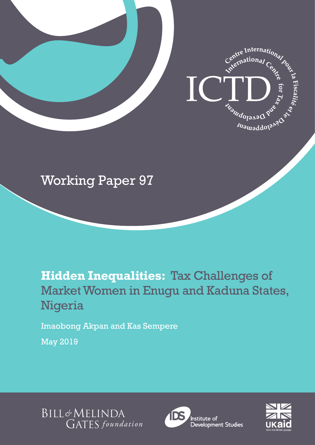

# Working Paper 97

# **Hidden Inequalities:** Tax Challenges of Market Women in Enugu and Kaduna States, Nigeria

Imaobong Akpan and Kas Sempere

May 2019





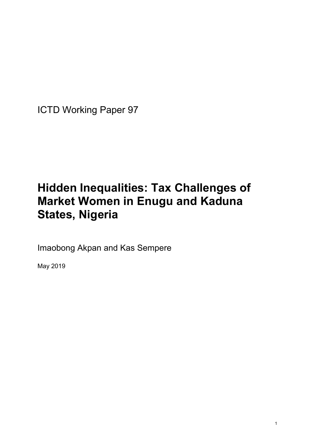ICTD Working Paper 97

# **Hidden Inequalities: Tax Challenges of Market Women in Enugu and Kaduna States, Nigeria**

Imaobong Akpan and Kas Sempere

May 2019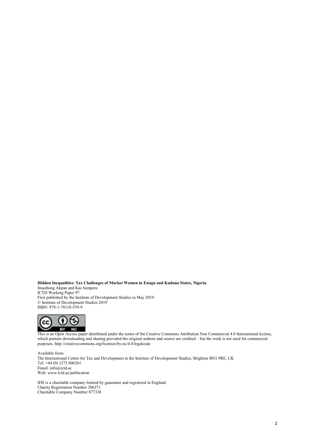**Hidden Inequalities: Tax Challenges of Market Women in Enugu and Kaduna States, Nigeria** Imaobong Akpan and Kas Sempere ICTD Working Paper 97 First published by the Institute of Development Studies in May 2019 © Institute of Development Studies 2019 ISBN: 978-1-78118-559-9



This is an Open Access paper distributed under the terms of the Creative Commons Attribution Non Commercial 4.0 International license, which permits downloading and sharing provided the original authors and source are credited – but the work is not used for commercial purposes. http://creativecommons.org/licenses/by-nc/4.0/legalcode

Available from: The International Centre for Tax and Development at the Institute of Development Studies, Brighton BN1 9RE, UK Tel: +44 (0) 1273 606261 Email: info@ictd.ac Web: www.ictd.ac/publication

IDS is a charitable company limited by guarantee and registered in England Charity Registration Number 306371 Charitable Company Number 877338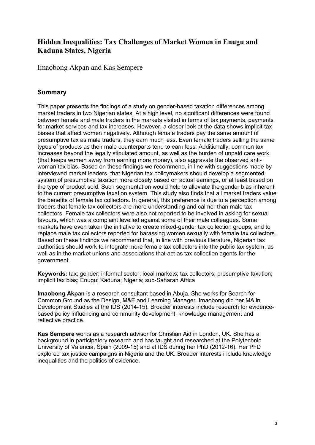## **Hidden Inequalities: Tax Challenges of Market Women in Enugu and Kaduna States, Nigeria**

Imaobong Akpan and Kas Sempere

### **Summary**

This paper presents the findings of a study on gender-based taxation differences among market traders in two Nigerian states. At a high level, no significant differences were found between female and male traders in the markets visited in terms of tax payments, payments for market services and tax increases. However, a closer look at the data shows implicit tax biases that affect women negatively. Although female traders pay the same amount of presumptive tax as male traders, they earn much less. Even female traders selling the same types of products as their male counterparts tend to earn less. Additionally, common tax increases beyond the legally stipulated amount, as well as the burden of unpaid care work (that keeps women away from earning more money), also aggravate the observed antiwoman tax bias. Based on these findings we recommend, in line with suggestions made by interviewed market leaders, that Nigerian tax policymakers should develop a segmented system of presumptive taxation more closely based on actual earnings, or at least based on the type of product sold. Such segmentation would help to alleviate the gender bias inherent to the current presumptive taxation system. This study also finds that all market traders value the benefits of female tax collectors. In general, this preference is due to a perception among traders that female tax collectors are more understanding and calmer than male tax collectors. Female tax collectors were also not reported to be involved in asking for sexual favours, which was a complaint levelled against some of their male colleagues. Some markets have even taken the initiative to create mixed-gender tax collection groups, and to replace male tax collectors reported for harassing women sexually with female tax collectors. Based on these findings we recommend that, in line with previous literature, Nigerian tax authorities should work to integrate more female tax collectors into the public tax system, as well as in the market unions and associations that act as tax collection agents for the government.

**Keywords:** tax; gender; informal sector; local markets; tax collectors; presumptive taxation; implicit tax bias; Enugu; Kaduna; Nigeria; sub-Saharan Africa

**Imaobong Akpan** is a research consultant based in Abuja. She works for Search for Common Ground as the Design, M&E and Learning Manager. Imaobong did her MA in Development Studies at the IDS (2014-15). Broader interests include research for evidencebased policy influencing and community development, knowledge management and reflective practice.

**Kas Sempere** works as a research advisor for Christian Aid in London, UK. She has a background in participatory research and has taught and researched at the Polytechnic University of Valencia, Spain (2009-15) and at IDS during her PhD (2012-16). Her PhD explored tax justice campaigns in Nigeria and the UK. Broader interests include knowledge inequalities and the politics of evidence.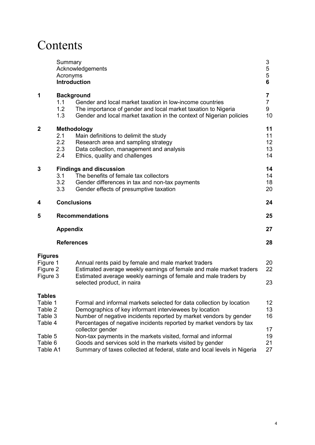# Contents

|                                                           | Summary<br>Acronyms      | Acknowledgements<br><b>Introduction</b>                                                                                                                                                                                                                                    | 3<br>5<br>5<br>6               |  |
|-----------------------------------------------------------|--------------------------|----------------------------------------------------------------------------------------------------------------------------------------------------------------------------------------------------------------------------------------------------------------------------|--------------------------------|--|
| 1                                                         | 1.1<br>1.2<br>1.3        | <b>Background</b><br>Gender and local market taxation in low-income countries<br>The importance of gender and local market taxation to Nigeria<br>Gender and local market taxation in the context of Nigerian policies                                                     | 7<br>$\overline{7}$<br>9<br>10 |  |
| 2                                                         | 2.1<br>2.2<br>2.3<br>2.4 | Methodology<br>Main definitions to delimit the study<br>Research area and sampling strategy<br>Data collection, management and analysis<br>Ethics, quality and challenges                                                                                                  | 11<br>11<br>12<br>13<br>14     |  |
| 3                                                         | 3.1<br>3.2<br>3.3        | <b>Findings and discussion</b><br>The benefits of female tax collectors<br>Gender differences in tax and non-tax payments<br>Gender effects of presumptive taxation                                                                                                        | 14<br>14<br>18<br>20           |  |
| 4                                                         |                          | <b>Conclusions</b>                                                                                                                                                                                                                                                         |                                |  |
| 5                                                         |                          | <b>Recommendations</b>                                                                                                                                                                                                                                                     |                                |  |
|                                                           | <b>Appendix</b>          |                                                                                                                                                                                                                                                                            | 27                             |  |
|                                                           | <b>References</b>        |                                                                                                                                                                                                                                                                            | 28                             |  |
| Figures<br>Figure 1<br>Figure 2<br>Figure 3               |                          | Annual rents paid by female and male market traders<br>Estimated average weekly earnings of female and male market traders<br>Estimated average weekly earnings of female and male traders by<br>selected product, in naira                                                | 20<br>22<br>23                 |  |
| <b>Tables</b><br>Table 1<br>Table 2<br>Table 3<br>Table 4 |                          | Formal and informal markets selected for data collection by location<br>Demographics of key informant interviewees by location<br>Number of negative incidents reported by market vendors by gender<br>Percentages of negative incidents reported by market vendors by tax | 12<br>13<br>16                 |  |
| Table 5<br>Table 6<br>Table A1                            |                          | collector gender<br>Non-tax payments in the markets visited, formal and informal<br>Goods and services sold in the markets visited by gender<br>Summary of taxes collected at federal, state and local levels in Nigeria                                                   | 17<br>19<br>21<br>27           |  |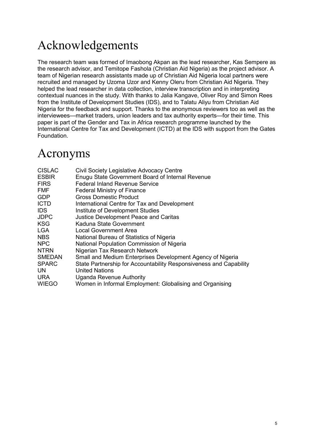# Acknowledgements

The research team was formed of Imaobong Akpan as the lead researcher, Kas Sempere as the research advisor, and Temitope Fashola (Christian Aid Nigeria) as the project advisor. A team of Nigerian research assistants made up of Christian Aid Nigeria local partners were recruited and managed by Uzoma Uzor and Kenny Oleru from Christian Aid Nigeria. They helped the lead researcher in data collection, interview transcription and in interpreting contextual nuances in the study. With thanks to Jalia Kangave, Oliver Roy and Simon Rees from the Institute of Development Studies (IDS), and to Talatu Aliyu from Christian Aid Nigeria for the feedback and support. Thanks to the anonymous reviewers too as well as the interviewees—market traders, union leaders and tax authority experts—for their time. This paper is part of the Gender and Tax in Africa research programme launched by the International Centre for Tax and Development (ICTD) at the IDS with support from the Gates Foundation.

## Acronyms

| <b>CISLAC</b> | <b>Civil Society Legislative Advocacy Centre</b>                   |
|---------------|--------------------------------------------------------------------|
| <b>ESBIR</b>  | Enugu State Government Board of Internal Revenue                   |
| <b>FIRS</b>   | <b>Federal Inland Revenue Service</b>                              |
| <b>FMF</b>    | <b>Federal Ministry of Finance</b>                                 |
| <b>GDP</b>    | <b>Gross Domestic Product</b>                                      |
| <b>ICTD</b>   | International Centre for Tax and Development                       |
| IDS.          | Institute of Development Studies                                   |
| <b>JDPC</b>   | <b>Justice Development Peace and Caritas</b>                       |
| <b>KSG</b>    | Kaduna State Government                                            |
| <b>LGA</b>    | Local Government Area                                              |
| NBS           | National Bureau of Statistics of Nigeria                           |
| <b>NPC</b>    | National Population Commission of Nigeria                          |
| <b>NTRN</b>   | Nigerian Tax Research Network                                      |
| <b>SMEDAN</b> | Small and Medium Enterprises Development Agency of Nigeria         |
| <b>SPARC</b>  | State Partnership for Accountability Responsiveness and Capability |
| <b>UN</b>     | <b>United Nations</b>                                              |
| <b>URA</b>    | Uganda Revenue Authority                                           |
| <b>WIEGO</b>  | Women in Informal Employment: Globalising and Organising           |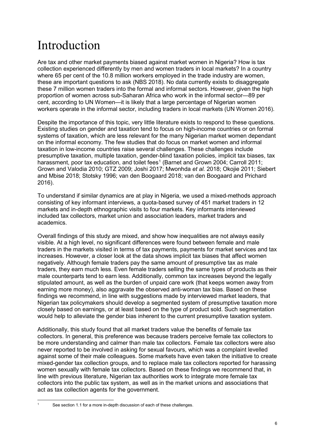# Introduction

Are tax and other market payments biased against market women in Nigeria? How is tax collection experienced differently by men and women traders in local markets? In a country where 65 per cent of the 10.8 million workers employed in the trade industry are women, these are important questions to ask (NBS 2018). No data currently exists to disaggregate these 7 million women traders into the formal and informal sectors. However, given the high proportion of women across sub-Saharan Africa who work in the informal sector—89 per cent, according to UN Women—it is likely that a large percentage of Nigerian women workers operate in the informal sector, including traders in local markets (UN Women 2016).

Despite the importance of this topic, very little literature exists to respond to these questions. Existing studies on gender and taxation tend to focus on high-income countries or on formal systems of taxation, which are less relevant for the many Nigerian market women dependant on the informal economy. The few studies that do focus on market women and informal taxation in low-income countries raise several challenges. These challenges include presumptive taxation, multiple taxation, gender-blind taxation policies, implicit tax biases, tax harassment, poor tax education, and toilet fees<sup>[1](#page-6-0)</sup> (Barnet and Grown 2004; Carroll 2011; Grown and Valodia 2010; GTZ 2009; Joshi 2017; Mwonhda *et al.* 2018; Okojie 2011; Siebert and Mbise 2018; Stotsky 1996; van den Boogaard 2018; van den Boogaard and Prichard 2016).

To understand if similar dynamics are at play in Nigeria, we used a mixed-methods approach consisting of key informant interviews, a quota-based survey of 451 market traders in 12 markets and in-depth ethnographic visits to four markets. Key informants interviewed included tax collectors, market union and association leaders, market traders and academics.

Overall findings of this study are mixed, and show how inequalities are not always easily visible. At a high level, no significant differences were found between female and male traders in the markets visited in terms of tax payments, payments for market services and tax increases. However, a closer look at the data shows implicit tax biases that affect women negatively. Although female traders pay the same amount of presumptive tax as male traders, they earn much less. Even female traders selling the same types of products as their male counterparts tend to earn less. Additionally, common tax increases beyond the legally stipulated amount, as well as the burden of unpaid care work (that keeps women away from earning more money), also aggravate the observed anti-woman tax bias. Based on these findings we recommend, in line with suggestions made by interviewed market leaders, that Nigerian tax policymakers should develop a segmented system of presumptive taxation more closely based on earnings, or at least based on the type of product sold. Such segmentation would help to alleviate the gender bias inherent to the current presumptive taxation system.

Additionally, this study found that all market traders value the benefits of female tax collectors. In general, this preference was because traders perceive female tax collectors to be more understanding and calmer than male tax collectors. Female tax collectors were also never reported to be involved in asking for sexual favours, which was a complaint levelled against some of their male colleagues. Some markets have even taken the initiative to create mixed-gender tax collection groups, and to replace male tax collectors reported for harassing women sexually with female tax collectors. Based on these findings we recommend that, in line with previous literature, Nigerian tax authorities work to integrate more female tax collectors into the public tax system, as well as in the market unions and associations that act as tax collection agents for the government.

<span id="page-6-0"></span>

See section 1.1 for a more in-depth discussion of each of these challenges.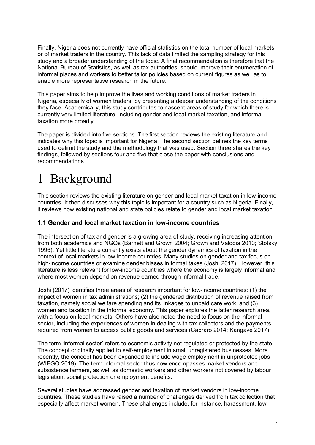Finally, Nigeria does not currently have official statistics on the total number of local markets or of market traders in the country. This lack of data limited the sampling strategy for this study and a broader understanding of the topic. A final recommendation is therefore that the National Bureau of Statistics, as well as tax authorities, should improve their enumeration of informal places and workers to better tailor policies based on current figures as well as to enable more representative research in the future.

This paper aims to help improve the lives and working conditions of market traders in Nigeria, especially of women traders, by presenting a deeper understanding of the conditions they face. Academically, this study contributes to nascent areas of study for which there is currently very limited literature, including gender and local market taxation, and informal taxation more broadly.

The paper is divided into five sections. The first section reviews the existing literature and indicates why this topic is important for Nigeria. The second section defines the key terms used to delimit the study and the methodology that was used. Section three shares the key findings, followed by sections four and five that close the paper with conclusions and recommendations.

# 1 Background

This section reviews the existing literature on gender and local market taxation in low-income countries. It then discusses why this topic is important for a country such as Nigeria. Finally, it reviews how existing national and state policies relate to gender and local market taxation.

#### **1.1 Gender and local market taxation in low-income countries**

The intersection of tax and gender is a growing area of study, receiving increasing attention from both academics and NGOs (Barnett and Grown 2004; Grown and Valodia 2010; Stotsky 1996). Yet little literature currently exists about the gender dynamics of taxation in the context of local markets in low-income countries. Many studies on gender and tax focus on high-income countries or examine gender biases in formal taxes (Joshi 2017). However, this literature is less relevant for low-income countries where the economy is largely informal and where most women depend on revenue earned through informal trade.

Joshi (2017) identifies three areas of research important for low-income countries: (1) the impact of women in tax administrations; (2) the gendered distribution of revenue raised from taxation, namely social welfare spending and its linkages to unpaid care work; and (3) women and taxation in the informal economy. This paper explores the latter research area, with a focus on local markets. Others have also noted the need to focus on the informal sector, including the experiences of women in dealing with tax collectors and the payments required from women to access public goods and services (Capraro 2014; Kangave 2017).

The term 'informal sector' refers to economic activity not regulated or protected by the state. The concept originally applied to self-employment in small unregistered businesses. More recently, the concept has been expanded to include wage employment in unprotected jobs (WIEGO 2019). The term informal sector thus now encompasses market vendors and subsistence farmers, as well as domestic workers and other workers not covered by labour legislation, social protection or employment benefits.

Several studies have addressed gender and taxation of market vendors in low-income countries. These studies have raised a number of challenges derived from tax collection that especially affect market women. These challenges include, for instance, harassment, low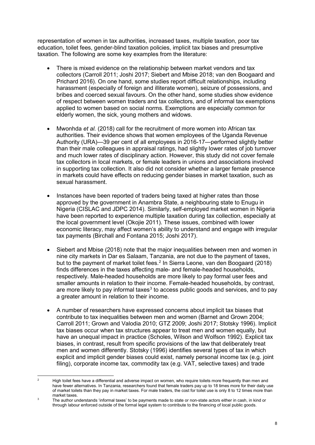representation of women in tax authorities, increased taxes, multiple taxation, poor tax education, toilet fees, gender-blind taxation policies, implicit tax biases and presumptive taxation. The following are some key examples from the literature:

- There is mixed evidence on the relationship between market vendors and tax collectors (Carroll 2011; Joshi 2017; Siebert and Mbise 2018; van den Boogaard and Prichard 2016). On one hand, some studies report difficult relationships, including harassment (especially of foreign and illiterate women), seizure of possessions, and bribes and coerced sexual favours. On the other hand, some studies show evidence of respect between women traders and tax collectors, and of informal tax exemptions applied to women based on social norms. Exemptions are especially common for elderly women, the sick, young mothers and widows.
- Mwonhda *et al.* (2018) call for the recruitment of more women into African tax authorities. Their evidence shows that women employees of the Uganda Revenue Authority (URA)—39 per cent of all employees in 2016-17—performed slightly better than their male colleagues in appraisal ratings, had slightly lower rates of job turnover and much lower rates of disciplinary action. However, this study did not cover female tax collectors in local markets, or female leaders in unions and associations involved in supporting tax collection. It also did not consider whether a larger female presence in markets could have effects on reducing gender biases in market taxation, such as sexual harassment.
- Instances have been reported of traders being taxed at higher rates than those approved by the government in Anambra State, a neighbouring state to Enugu in Nigeria (CISLAC and JDPC 2014). Similarly, self-employed market women in Nigeria have been reported to experience multiple taxation during tax collection, especially at the local government level (Okojie 2011). These issues, combined with lower economic literacy, may affect women's ability to understand and engage with irregular tax payments (Birchall and Fontana 2015; Joshi 2017).
- Siebert and Mbise (2018) note that the major inequalities between men and women in nine city markets in Dar es Salaam, Tanzania, are not due to the payment of taxes, but to the payment of market toilet fees. [2](#page-8-0) In Sierra Leone, van den Boogaard (2018) finds differences in the taxes affecting male- and female-headed households, respectively. Male-headed households are more likely to pay formal user fees and smaller amounts in relation to their income. Female-headed households, by contrast, are more likely to pay informal taxes<sup>[3](#page-8-1)</sup> to access public goods and services, and to pay a greater amount in relation to their income.
- A number of researchers have expressed concerns about implicit tax biases that contribute to tax inequalities between men and women (Barnet and Grown 2004; Carroll 2011; Grown and Valodia 2010; GTZ 2009; Joshi 2017; Stotsky 1996). Implicit tax biases occur when tax structures appear to treat men and women equally, but have an unequal impact in practice (Scholes, Wilson and Wolfson 1992). Explicit tax biases, in contrast, result from specific provisions of the law that deliberately treat men and women differently. Stotsky (1996) identifies several types of tax in which explicit and implicit gender biases could exist, namely personal income tax (e.g. joint filing), corporate income tax, commodity tax (e.g. VAT, selective taxes) and trade

<span id="page-8-0"></span><sup>&</sup>lt;sup>2</sup> High toilet fees have a differential and adverse impact on women, who require toilets more frequently than men and have fewer alternatives. In Tanzania, researchers found that female traders pay up to 18 times more for their daily use of market toilets than they pay in market taxes. For male traders, the cost for toilet use is only 8 to 12 times more than market taxes.

<span id="page-8-1"></span>The author understands 'informal taxes' to be payments made to state or non-state actors either in cash, in kind or through labour enforced outside of the formal legal system to contribute to the financing of local public goods.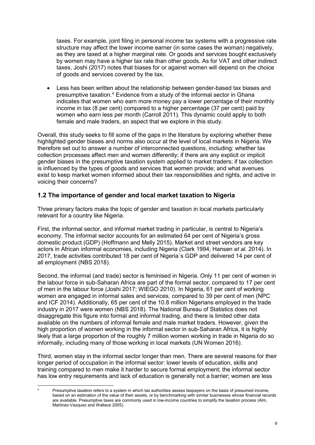taxes. For example, joint filing in personal income tax systems with a progressive rate structure may affect the lower income earner (in some cases the woman) negatively, as they are taxed at a higher marginal rate. Or goods and services bought exclusively by women may have a higher tax rate than other goods. As for VAT and other indirect taxes, Joshi (2017) notes that biases for or against women will depend on the choice of goods and services covered by the tax.

• Less has been written about the relationship between gender-based tax biases and presumptive taxation.[4](#page-9-0) Evidence from a study of the informal sector in Ghana indicates that women who earn more money pay a lower percentage of their monthly income in tax (8 per cent) compared to a higher percentage (37 per cent) paid by women who earn less per month (Carroll 2011). This dynamic could apply to both female and male traders, an aspect that we explore in this study.

Overall, this study seeks to fill some of the gaps in the literature by exploring whether these highlighted gender biases and norms also occur at the level of local markets in Nigeria. We therefore set out to answer a number of interconnected questions, including: whether tax collection processes affect men and women differently; if there are any explicit or implicit gender biases in the presumptive taxation system applied to market traders; if tax collection is influenced by the types of goods and services that women provide; and what avenues exist to keep market women informed about their tax responsibilities and rights, and active in voicing their concerns?

### **1.2 The importance of gender and local market taxation to Nigeria**

Three primary factors make the topic of gender and taxation in local markets particularly relevant for a country like Nigeria.

First, the informal sector, and informal market trading in particular, is central to Nigeria's economy. The informal sector accounts for an estimated 64 per cent of Nigeria's gross domestic product (GDP) (Hoffmann and Melly 2015). Market and street vendors are key actors in African informal economies, including Nigeria (Clark 1994; Hansen *et al.* 2014). In 2017, trade activities contributed 18 per cent of Nigeria´s GDP and delivered 14 per cent of all employment (NBS 2018).

Second, the informal (and trade) sector is feminised in Nigeria. Only 11 per cent of women in the labour force in sub-Saharan Africa are part of the formal sector, compared to 17 per cent of men in the labour force (Joshi 2017; WIEGO 2010). In Nigeria, 61 per cent of working women are engaged in informal sales and services, compared to 39 per cent of men (NPC and ICF 2014). Additionally, 65 per cent of the 10.8 million Nigerians employed in the trade industry in 2017 were women (NBS 2018). The National Bureau of Statistics does not disaggregate this figure into formal and informal trading, and there is limited other data available on the numbers of informal female and male market traders. However, given the high proportion of women working in the informal sector in sub-Saharan Africa, it is highly likely that a large proportion of the roughly 7 million women working in trade in Nigeria do so informally, including many of those working in local markets (UN Women 2016).

Third, women stay in the informal sector longer than men. There are several reasons for their longer period of occupation in the informal sector: lower levels of education, skills and training compared to men make it harder to secure formal employment; the informal sector has low entry requirements and lack of education is generally not a barrier; women are less

<span id="page-9-0"></span>Presumptive taxation refers to a system in which tax authorities assess taxpayers on the basis of presumed income, based on an estimation of the value of their assets, or by benchmarking with similar businesses whose financial records are available. Presumptive taxes are commonly used in low-income countries to simplify the taxation process (Alm, Martinez-Vazquez and Wallace 2005).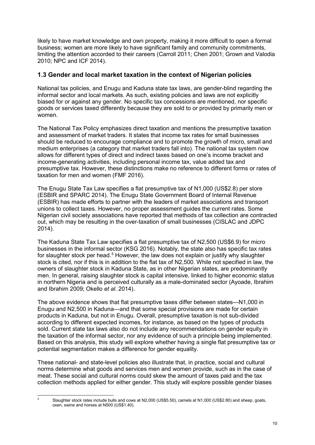likely to have market knowledge and own property, making it more difficult to open a formal business; women are more likely to have significant family and community commitments, limiting the attention accorded to their careers (Carroll 2011; Chen 2001; Grown and Valodia 2010; NPC and ICF 2014).

#### **1.3 Gender and local market taxation in the context of Nigerian policies**

National tax policies, and Enugu and Kaduna state tax laws, are gender-blind regarding the informal sector and local markets. As such, existing policies and laws are not explicitly biased for or against any gender. No specific tax concessions are mentioned, nor specific goods or services taxed differently because they are sold to or provided by primarily men or women.

The National Tax Policy emphasizes direct taxation and mentions the presumptive taxation and assessment of market traders. It states that income tax rates for small businesses should be reduced to encourage compliance and to promote the growth of micro, small and medium enterprises (a category that market traders fall into). The national tax system now allows for different types of direct and indirect taxes based on one's income bracket and income-generating activities, including personal income tax, value added tax and presumptive tax. However, these distinctions make no reference to different forms or rates of taxation for men and women (FMF 2016).

The Enugu State Tax Law specifies a flat presumptive tax of N1,000 (US\$2.8) per store (ESBIR and SPARC 2014). The Enugu State Government Board of Internal Revenue (ESBIR) has made efforts to partner with the leaders of market associations and transport unions to collect taxes. However, no proper assessment guides the current rates. Some Nigerian civil society associations have reported that methods of tax collection are contracted out, which may be resulting in the over-taxation of small businesses (CISLAC and JDPC 2014).

The Kaduna State Tax Law specifies a flat presumptive tax of N2,500 (US\$6.9) for micro businesses in the informal sector (KSG 2016). Notably, the state also has specific tax rates for slaughter stock per head. $^5$  $^5$  However, the law does not explain or justify why slaughter stock is cited, nor if this is in addition to the flat tax of N2,500. While not specified in law, the owners of slaughter stock in Kaduna State, as in other Nigerian states, are predominantly men. In general, raising slaughter stock is capital intensive, linked to higher economic status in northern Nigeria and is perceived culturally as a male-dominated sector (Ayoade, Ibrahim and Ibrahim 2009; Okello *et al*. 2014).

The above evidence shows that flat presumptive taxes differ between states—N1,000 in Enugu and N2,500 in Kaduna—and that some special provisions are made for certain products in Kaduna, but not in Enugu. Overall, presumptive taxation is not sub-divided according to different expected incomes, for instance, as based on the types of products sold. Current state tax laws also do not include any recommendations on gender equity in the taxation of the informal sector, nor any evidence of such a principle being implemented. Based on this analysis, this study will explore whether having a single flat presumptive tax or potential segmentation makes a difference for gender equality.

These national- and state-level policies also illustrate that, in practice, social and cultural norms determine what goods and services men and women provide, such as in the case of meat. These social and cultural norms could skew the amount of taxes paid and the tax collection methods applied for either gender. This study will explore possible gender biases

<span id="page-10-0"></span><sup>&</sup>lt;sup>5</sup> Slaughter stock rates include bulls and cows at N2,000 (US\$5.50), camels at N1,000 (US\$2.80) and sheep, goats, oxen, swine and horses at N500 (US\$1.40).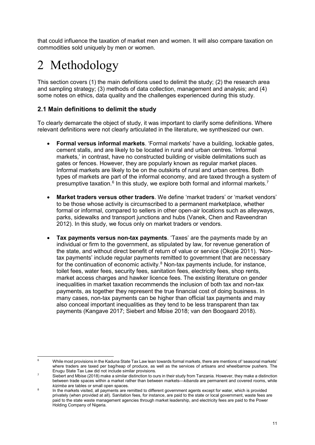that could influence the taxation of market men and women. It will also compare taxation on commodities sold uniquely by men or women.

# 2 Methodology

This section covers (1) the main definitions used to delimit the study; (2) the research area and sampling strategy; (3) methods of data collection, management and analysis; and (4) some notes on ethics, data quality and the challenges experienced during this study.

### **2.1 Main definitions to delimit the study**

To clearly demarcate the object of study, it was important to clarify some definitions. Where relevant definitions were not clearly articulated in the literature, we synthesized our own.

- **Formal versus informal markets**. 'Formal markets' have a building, lockable gates, cement stalls, and are likely to be located in rural and urban centres. 'Informal markets,' in contrast, have no constructed building or visible delimitations such as gates or fences. However, they are popularly known as regular market places. Informal markets are likely to be on the outskirts of rural and urban centres. Both types of markets are part of the informal economy, and are taxed through a system of presumptive taxation. $^6$  $^6$  In this study, we explore both formal and informal markets. $^7$  $^7$
- **Market traders versus other traders**. We define 'market traders' or 'market vendors' to be those whose activity is circumscribed to a permanent marketplace, whether formal or informal, compared to sellers in other open-air locations such as alleyways, parks, sidewalks and transport junctions and hubs (Vanek, Chen and Raveendran 2012). In this study, we focus only on market traders or vendors.
- **Tax payments versus non-tax payments**. 'Taxes' are the payments made by an individual or firm to the government, as stipulated by law, for revenue generation of the state, and without direct benefit of return of value or service (Okojie 2011). 'Nontax payments' include regular payments remitted to government that are necessary for the continuation of economic activity. $8$  Non-tax payments include, for instance, toilet fees, water fees, security fees, sanitation fees, electricity fees, shop rents, market access charges and hawker licence fees. The existing literature on gender inequalities in market taxation recommends the inclusion of both tax and non-tax payments, as together they represent the true financial cost of doing business. In many cases, non-tax payments can be higher than official tax payments and may also conceal important inequalities as they tend to be less transparent than tax payments (Kangave 2017; Siebert and Mbise 2018; van den Boogaard 2018).

<span id="page-11-0"></span>While most provisions in the Kaduna State Tax Law lean towards formal markets, there are mentions of 'seasonal markets' where traders are taxed per bag/heap of produce, as well as the services of artisans and wheelbarrow pushers. The Enugu State Tax Law did not include similar provisions.

<span id="page-11-1"></span>Siebert and Mbise (2018) make a similar distinction to ours in their study from Tanzania. However, they make a distinction between trade spaces within a market rather than between markets—*kibanda* are permanent and covered rooms, while *kizimba* are tables or small open spaces.

<span id="page-11-2"></span><sup>&</sup>lt;sup>8</sup> In the markets visited, all payments are remitted to different government agents except for water, which is provided privately (when provided at all). Sanitation fees, for instance, are paid to the state or local government, waste fees are paid to the state waste management agencies through market leadership, and electricity fees are paid to the Power Holding Company of Nigeria.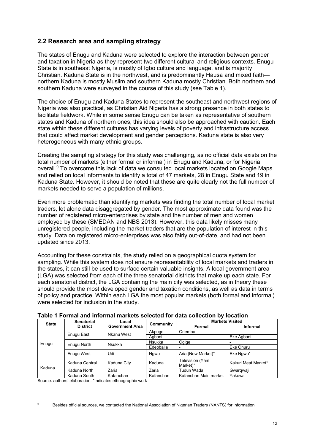### **2.2 Research area and sampling strategy**

The states of Enugu and Kaduna were selected to explore the interaction between gender and taxation in Nigeria as they represent two different cultural and religious contexts. Enugu State is in southeast Nigeria, is mostly of Igbo culture and language, and is majority Christian. Kaduna State is in the northwest, and is predominantly Hausa and mixed faith northern Kaduna is mostly Muslim and southern Kaduna mostly Christian. Both northern and southern Kaduna were surveyed in the course of this study (see Table 1).

The choice of Enugu and Kaduna States to represent the southeast and northwest regions of Nigeria was also practical, as Christian Aid Nigeria has a strong presence in both states to facilitate fieldwork. While in some sense Enugu can be taken as representative of southern states and Kaduna of northern ones, this idea should also be approached with caution. Each state within these different cultures has varying levels of poverty and infrastructure access that could affect market development and gender perceptions. Kaduna state is also very heterogeneous with many ethnic groups.

Creating the sampling strategy for this study was challenging, as no official data exists on the total number of markets (either formal or informal) in Enugu and Kaduna, or for Nigeria overall.[9](#page-12-0) To overcome this lack of data we consulted local markets located on Google Maps and relied on local informants to identify a total of 47 markets, 28 in Enugu State and 19 in Kaduna State. However, it should be noted that these are quite clearly not the full number of markets needed to serve a population of millions.

Even more problematic than identifying markets was finding the total number of local market traders, let alone data disaggregated by gender. The most approximate data found was the number of registered micro-enterprises by state and the number of men and women employed by these (SMEDAN and NBS 2013). However, this data likely misses many unregistered people, including the market traders that are the population of interest in this study. Data on registered micro-enterprises was also fairly out-of-date, and had not been updated since 2013.

Accounting for these constraints, the study relied on a geographical quota system for sampling. While this system does not ensure representability of local markets and traders in the states, it can still be used to surface certain valuable insights. A local government area (LGA) was selected from each of the three senatorial districts that make up each state. For each senatorial district, the LGA containing the main city was selected, as in theory these should provide the most developed gender and taxation conditions, as well as data in terms of policy and practice. Within each LGA the most popular markets (both formal and informal) were selected for inclusion in the study.

| aple 1 Formal and informal markets selected for data collection by location |                                      |                                 |               |                             |                     |
|-----------------------------------------------------------------------------|--------------------------------------|---------------------------------|---------------|-----------------------------|---------------------|
| <b>State</b>                                                                | <b>Senatorial</b><br><b>District</b> | Local<br><b>Government Area</b> | Community     | <b>Markets Visited</b>      |                     |
|                                                                             |                                      |                                 |               | Formal                      | <b>Informal</b>     |
|                                                                             | Enugu East                           | Nkanu West                      | Akpugo        | Oriemba                     |                     |
|                                                                             |                                      |                                 | Aqbani        |                             | Eke Agbani          |
| Enugu                                                                       | Enugu North                          | Nsukka                          | <b>Nsukka</b> | Ogige                       |                     |
|                                                                             |                                      |                                 | Edeoballa     |                             | Eke Ohuru           |
|                                                                             | Enugu West                           | Udi                             | Ngwo          | Aria (New Market)*          | Eke Ngwo*           |
| Kaduna                                                                      | Kaduna Central                       | Kaduna City                     | Kaduna        | Television (Yam<br>Market)* | Kakuri Meat Market* |
|                                                                             | Kaduna North                         | Zaria                           | Zaria         | Tudun Wada                  | Gwargwaji           |
|                                                                             | Kaduna South                         | Kafanchan                       | Kafanchan     | Kafanchan Main market       | Yakowa              |

**Table 1 Formal and informal markets selected for data collection by location**

Source: authors' elaboration. \*Indicates ethnographic work

<span id="page-12-0"></span>Besides official sources, we contacted the National Association of Nigerian Traders (NANTS) for information.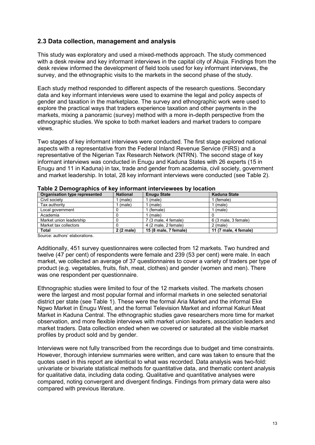### **2.3 Data collection, management and analysis**

This study was exploratory and used a mixed-methods approach. The study commenced with a desk review and key informant interviews in the capital city of Abuja. Findings from the desk review informed the development of field tools used for key informant interviews, the survey, and the ethnographic visits to the markets in the second phase of the study.

Each study method responded to different aspects of the research questions. Secondary data and key informant interviews were used to examine the legal and policy aspects of gender and taxation in the marketplace. The survey and ethnographic work were used to explore the practical ways that traders experience taxation and other payments in the markets, mixing a panoramic (survey) method with a more in-depth perspective from the ethnographic studies. We spoke to both market leaders and market traders to compare views.

Two stages of key informant interviews were conducted. The first stage explored national aspects with a representative from the Federal Inland Revenue Service (FIRS) and a representative of the Nigerian Tax Research Network (NTRN). The second stage of key informant interviews was conducted in Enugu and Kaduna States with 26 experts (15 in Enugu and 11 in Kaduna) in tax, trade and gender from academia, civil society, government and market leadership. In total, 28 key informant interviews were conducted (see Table 2).

| Organisation type represented | <b>National</b> | <b>Enugu State</b>    | Kaduna State          |
|-------------------------------|-----------------|-----------------------|-----------------------|
| Civil society                 | (male)          | (male)                | (female)              |
| Tax authority                 | (male)          | (male)                | (male)                |
| Local government              |                 | (female)              | (male)                |
| Academia                      |                 | (male)                |                       |
| Market union leadership       |                 | 7 (3 male, 4 female)  | 6 (3 male, 3 female)  |
| Market tax collectors         |                 | 4 (2 male, 2 female)  | $2 \text{ (male)}$    |
| <b>Total</b>                  | 2 (2 male)      | 15 (8 male, 7 female) | 11 (7 male, 4 female) |

| Table 2 Demographics of key informant interviewees by location |  |
|----------------------------------------------------------------|--|
|----------------------------------------------------------------|--|

Source: authors' elaborations.

Additionally, 451 survey questionnaires were collected from 12 markets. Two hundred and twelve (47 per cent) of respondents were female and 239 (53 per cent) were male. In each market, we collected an average of 37 questionnaires to cover a variety of traders per type of product (e.g. vegetables, fruits, fish, meat, clothes) and gender (women and men). There was one respondent per questionnaire.

Ethnographic studies were limited to four of the 12 markets visited. The markets chosen were the largest and most popular formal and informal markets in one selected senatorial district per state (see Table 1). These were the formal Aria Market and the informal Eke Ngwo Market in Enugu West, and the formal Television Market and informal Kakuri Meat Market in Kaduna Central. The ethnographic studies gave researchers more time for market observation, and more flexible interviews with market union leaders, association leaders and market traders. Data collection ended when we covered or saturated all the visible market profiles by product sold and by gender.

Interviews were not fully transcribed from the recordings due to budget and time constraints. However, thorough interview summaries were written, and care was taken to ensure that the quotes used in this report are identical to what was recorded. Data analysis was two-fold: univariate or bivariate statistical methods for quantitative data, and thematic content analysis for qualitative data, including data coding. Qualitative and quantitative analyses were compared, noting convergent and divergent findings. Findings from primary data were also compared with previous literature.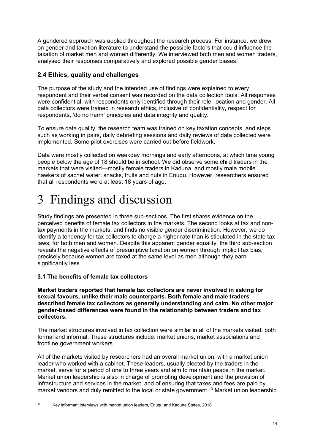A gendered approach was applied throughout the research process. For instance, we drew on gender and taxation literature to understand the possible factors that could influence the taxation of market men and women differently. We interviewed both men and women traders, analysed their responses comparatively and explored possible gender biases.

### **2.4 Ethics, quality and challenges**

The purpose of the study and the intended use of findings were explained to every respondent and their verbal consent was recorded on the data collection tools. All responses were confidential, with respondents only identified through their role, location and gender. All data collectors were trained in research ethics, inclusive of confidentiality, respect for respondents, 'do no harm' principles and data integrity and quality.

To ensure data quality, the research team was trained on key taxation concepts, and steps such as working in pairs, daily debriefing sessions and daily reviews of data collected were implemented. Some pilot exercises were carried out before fieldwork.

Data were mostly collected on weekday mornings and early afternoons, at which time young people below the age of 18 should be in school. We did observe some child traders in the markets that were visited—mostly female traders in Kaduna, and mostly male mobile hawkers of sachet water, snacks, fruits and nuts in Enugu. However, researchers ensured that all respondents were at least 18 years of age.

# 3 Findings and discussion

Study findings are presented in three sub-sections. The first shares evidence on the perceived benefits of female tax collectors in the markets. The second looks at tax and nontax payments in the markets, and finds no visible gender discrimination. However, we do identify a tendency for tax collectors to charge a higher rate than is stipulated in the state tax laws, for both men and women. Despite this apparent gender equality, the third sub-section reveals the negative effects of presumptive taxation on women through implicit tax bias, precisely because women are taxed at the same level as men although they earn significantly less.

### **3.1 The benefits of female tax collectors**

**Market traders reported that female tax collectors are never involved in asking for sexual favours, unlike their male counterparts. Both female and male traders described female tax collectors as generally understanding and calm. No other major gender-based differences were found in the relationship between traders and tax collectors.**

The market structures involved in tax collection were similar in all of the markets visited, both formal and informal. These structures include: market unions, market associations and frontline government workers.

All of the markets visited by researchers had an overall market union, with a market union leader who worked with a cabinet. These leaders, usually elected by the traders in the market, serve for a period of one to three years and aim to maintain peace in the market. Market union leadership is also in charge of promoting development and the provision of infrastructure and services in the market, and of ensuring that taxes and fees are paid by market vendors and duly remitted to the local or state government. [10](#page-14-0) Market union leadership

<span id="page-14-0"></span> <sup>10</sup> Key informant interviews with market union leaders, Enugu and Kaduna States, 2018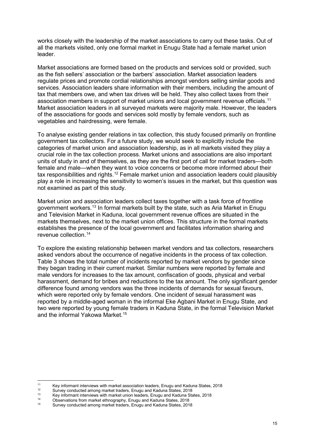works closely with the leadership of the market associations to carry out these tasks. Out of all the markets visited, only one formal market in Enugu State had a female market union leader.

Market associations are formed based on the products and services sold or provided, such as the fish sellers' association or the barbers' association. Market association leaders regulate prices and promote cordial relationships amongst vendors selling similar goods and services. Association leaders share information with their members, including the amount of tax that members owe, and when tax drives will be held. They also collect taxes from their association members in support of market unions and local government revenue officials.[11](#page-15-0) Market association leaders in all surveyed markets were majority male. However, the leaders of the associations for goods and services sold mostly by female vendors, such as vegetables and hairdressing, were female.

To analyse existing gender relations in tax collection, this study focused primarily on frontline government tax collectors. For a future study, we would seek to explicitly include the categories of market union and association leadership, as in all markets visited they play a crucial role in the tax collection process. Market unions and associations are also important units of study in and of themselves, as they are the first port of call for market traders—both female and male—when they want to voice concerns or become more informed about their tax responsibilities and rights.<sup>[12](#page-15-1)</sup> Female market union and association leaders could plausibly play a role in increasing the sensitivity to women's issues in the market, but this question was not examined as part of this study.

Market union and association leaders collect taxes together with a task force of frontline government workers. [13](#page-15-2) In formal markets built by the state, such as Aria Market in Enugu and Television Market in Kaduna, local government revenue offices are situated in the markets themselves, next to the market union offices. This structure in the formal markets establishes the presence of the local government and facilitates information sharing and revenue collection. [14](#page-15-3)

To explore the existing relationship between market vendors and tax collectors, researchers asked vendors about the occurrence of negative incidents in the process of tax collection. Table 3 shows the total number of incidents reported by market vendors by gender since they began trading in their current market. Similar numbers were reported by female and male vendors for increases to the tax amount, confiscation of goods, physical and verbal harassment, demand for bribes and reductions to the tax amount. The only significant gender difference found among vendors was the three incidents of demands for sexual favours, which were reported only by female vendors. One incident of sexual harassment was reported by a middle-aged woman in the informal Eke Agbani Market in Enugu State, and two were reported by young female traders in Kaduna State, in the formal Television Market and the informal Yakowa Market. [15](#page-15-4)

<span id="page-15-0"></span><sup>&</sup>lt;sup>11</sup> Key informant interviews with market association leaders, Enugu and Kaduna States, 2018

<span id="page-15-1"></span><sup>&</sup>lt;sup>12</sup> Survey conducted among market traders, Enugu and Kaduna States, 2018<br><sup>13</sup> Key informant interviews with market union leaders. Enugu and Kaduna Sta

<span id="page-15-2"></span><sup>&</sup>lt;sup>13</sup> Key informant interviews with market union leaders, Enugu and Kaduna States, 2018

<span id="page-15-4"></span><span id="page-15-3"></span><sup>&</sup>lt;sup>14</sup> Observations from market ethnography, Enugu and Kaduna States, 2018<br><sup>15</sup> Sungay applyiedd among market tradara. Enugu and Kaduna States, 2018

<sup>15</sup> Survey conducted among market traders, Enugu and Kaduna States, 2018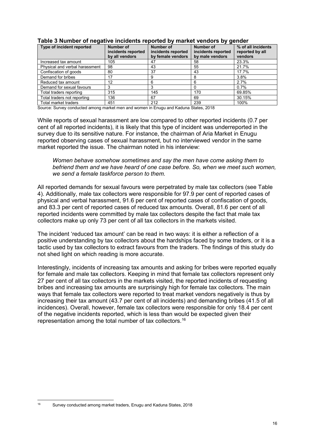| Type of incident reported      | Number of<br>incidents reported<br>by all vendors | <b>Number of</b><br>incidents reported<br>by female vendors | <b>Number of</b><br>incidents reported<br>by male vendors | % of all incidents<br>reported by all<br>vendors |
|--------------------------------|---------------------------------------------------|-------------------------------------------------------------|-----------------------------------------------------------|--------------------------------------------------|
| Increased tax amount           | 105                                               | 47                                                          | 58                                                        | 23.3%                                            |
| Physical and verbal harassment | 98                                                | 43                                                          | 55                                                        | 21.7%                                            |
| Confiscation of goods          | 80                                                | 37                                                          | 43                                                        | 17.7%                                            |
| Demand for bribes              | 17                                                | 9                                                           |                                                           | 3.8%                                             |
| Reduced tax amount             | 12                                                | 6                                                           |                                                           | 2.7%                                             |
| Demand for sexual favours      | 3                                                 |                                                             |                                                           | $0.7\%$                                          |
| Total traders reporting        | 315                                               | 145                                                         | 170                                                       | 69.85%                                           |
| Total traders not reporting    | 136                                               | 67                                                          | 69                                                        | 30.15%                                           |
| Total market traders           | 451                                               | 212                                                         | 239                                                       | 100%                                             |

#### **Table 3 Number of negative incidents reported by market vendors by gender**

Source: Survey conducted among market men and women in Enugu and Kaduna States, 2018

While reports of sexual harassment are low compared to other reported incidents (0.7 per cent of all reported incidents), it is likely that this type of incident was underreported in the survey due to its sensitive nature. For instance, the chairman of Aria Market in Enugu reported observing cases of sexual harassment, but no interviewed vendor in the same market reported the issue. The chairman noted in his interview:

*Women behave somehow sometimes and say the men have come asking them to befriend them and we have heard of one case before. So, when we meet such women, we send a female taskforce person to them.*

All reported demands for sexual favours were perpetrated by male tax collectors (see Table 4). Additionally, male tax collectors were responsible for 97.9 per cent of reported cases of physical and verbal harassment, 91.6 per cent of reported cases of confiscation of goods, and 83.3 per cent of reported cases of reduced tax amounts. Overall, 81.6 per cent of all reported incidents were committed by male tax collectors despite the fact that male tax collectors make up only 73 per cent of all tax collectors in the markets visited.

The incident 'reduced tax amount' can be read in two ways: it is either a reflection of a positive understanding by tax collectors about the hardships faced by some traders, or it is a tactic used by tax collectors to extract favours from the traders. The findings of this study do not shed light on which reading is more accurate.

Interestingly, incidents of increasing tax amounts and asking for bribes were reported equally for female and male tax collectors. Keeping in mind that female tax collectors represent only 27 per cent of all tax collectors in the markets visited, the reported incidents of requesting bribes and increasing tax amounts are surprisingly high for female tax collectors. The main ways that female tax collectors were reported to treat market vendors negatively is thus by increasing their tax amount (43.7 per cent of all incidents) and demanding bribes (41.5 of all incidences). Overall, however, female tax collectors were responsible for only 18.4 per cent of the negative incidents reported, which is less than would be expected given their representation among the total number of tax collectors. [16](#page-16-0)

<span id="page-16-0"></span> <sup>16</sup> Survey conducted among market traders, Enugu and Kaduna States, 2018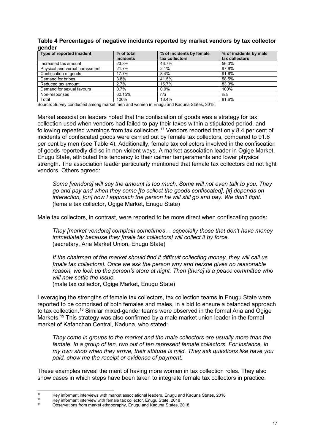#### **Table 4 Percentages of negative incidents reported by market vendors by tax collector gender**

| Type of reported incident      | % of total<br>incidents | % of incidents by female<br>tax collectors | % of incidents by male<br>tax collectors |
|--------------------------------|-------------------------|--------------------------------------------|------------------------------------------|
| Increased tax amount           | 23.3%                   | 43.7%                                      | 56.3%                                    |
| Physical and verbal harassment | 21.7%                   | 2.1%                                       | 97.9%                                    |
| Confiscation of goods          | 17.7%                   | 8.4%                                       | 91.6%                                    |
| Demand for bribes              | 3.8%                    | 41.5%                                      | 58.5%                                    |
| Reduced tax amount             | 2.7%                    | 16.7%                                      | 83.3%                                    |
| Demand for sexual favours      | 0.7%                    | $0.0\%$                                    | 100%                                     |
| Non-responses                  | 30.15%                  | n/a                                        | n/a                                      |
| Total                          | 100%                    | 18.4%                                      | 81.6%                                    |

Source: Survey conducted among market men and women in Enugu and Kaduna States, 2018.

Market association leaders noted that the confiscation of goods was a strategy for tax collection used when vendors had failed to pay their taxes within a stipulated period, and following repeated warnings from tax collectors. [17](#page-17-0) Vendors reported that only 8.4 per cent of incidents of confiscated goods were carried out by female tax collectors, compared to 91.6 per cent by men (see Table 4). Additionally, female tax collectors involved in the confiscation of goods reportedly did so in non-violent ways. A market association leader in Ogige Market, Enugu State, attributed this tendency to their calmer temperaments and lower physical strength. The association leader particularly mentioned that female tax collectors did not fight vendors. Others agreed:

*Some [vendors] will say the amount is too much. Some will not even talk to you. They go and pay and when they come [to collect the goods confiscated], [it] depends on interaction, [on] how I approach the person he will still go and pay. We don't fight.* (female tax collector, Ogige Market, Enugu State)

Male tax collectors, in contrast, were reported to be more direct when confiscating goods:

*They [market vendors] complain sometimes… especially those that don't have money immediately because they [male tax collectors] will collect it by force.* (secretary, Aria Market Union, Enugu State)

*If the chairman of the market should find it difficult collecting money, they will call us [male tax collectors]. Once we ask the person why and he/she gives no reasonable reason, we lock up the person's store at night. Then [there] is a peace committee who will now settle the issue.*

(male tax collector, Ogige Market, Enugu State)

Leveraging the strengths of female tax collectors, tax collection teams in Enugu State were reported to be comprised of both females and males, in a bid to ensure a balanced approach to tax collection.<sup>[18](#page-17-1)</sup> Similar mixed-gender teams were observed in the formal Aria and Ogige Markets. [19](#page-17-2) This strategy was also confirmed by a male market union leader in the formal market of Kafanchan Central, Kaduna, who stated:

*They come in groups to the market and the male collectors are usually more than the female. In a group of ten, two out of ten represent female collectors. For instance, in my own shop when they arrive, their attitude is mild. They ask questions like have you paid, show me the receipt or evidence of payment.*

These examples reveal the merit of having more women in tax collection roles. They also show cases in which steps have been taken to integrate female tax collectors in practice.

<sup>&</sup>lt;sup>17</sup> Key informant interviews with market associational leaders, Enugu and Kaduna States, 2018<br><sup>18</sup> Key informant interview with famele tax cellector. Enugu State 2018

<span id="page-17-2"></span><span id="page-17-1"></span><span id="page-17-0"></span><sup>&</sup>lt;sup>18</sup> Key informant interview with female tax collector, Enugu State, 2018

<sup>19</sup> Observations from market ethnography, Enugu and Kaduna States, 2018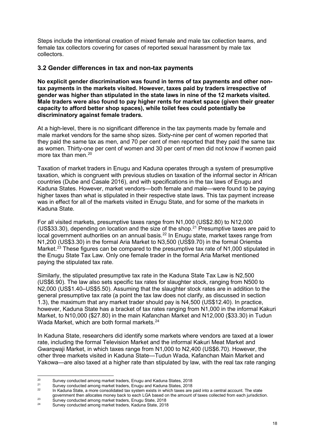Steps include the intentional creation of mixed female and male tax collection teams, and female tax collectors covering for cases of reported sexual harassment by male tax collectors.

#### **3.2 Gender differences in tax and non-tax payments**

**No explicit gender discrimination was found in terms of tax payments and other nontax payments in the markets visited. However, taxes paid by traders irrespective of gender was higher than stipulated in the state laws in nine of the 12 markets visited. Male traders were also found to pay higher rents for market space (given their greater capacity to afford better shop spaces), while toilet fees could potentially be discriminatory against female traders.**

At a high-level, there is no significant difference in the tax payments made by female and male market vendors for the same shop sizes. Sixty-nine per cent of women reported that they paid the same tax as men, and 70 per cent of men reported that they paid the same tax as women. Thirty-one per cent of women and 30 per cent of men did not know if women paid more tax than men.<sup>[20](#page-18-0)</sup>

Taxation of market traders in Enugu and Kaduna operates through a system of presumptive taxation, which is congruent with previous studies on taxation of the informal sector in African countries (Dube and Casale 2016), and with specifications in the tax laws of Enugu and Kaduna States. However, market vendors—both female and male—were found to be paying higher taxes than what is stipulated in their respective state laws. This tax payment increase was in effect for all of the markets visited in Enugu State, and for some of the markets in Kaduna State.

For all visited markets, presumptive taxes range from N1,000 (US\$2.80) to N12,000 (US\$33.30), depending on location and the size of the shop. [21](#page-18-1) Presumptive taxes are paid to local government authorities on an annual basis.<sup>[22](#page-18-2)</sup> In Enugu state, market taxes range from N1,200 (US\$3.30) in the formal Aria Market to N3,500 (US\$9.70) in the formal Oriemba Market. [23](#page-18-3) These figures can be compared to the presumptive tax rate of N1,000 stipulated in the Enugu State Tax Law. Only one female trader in the formal Aria Market mentioned paying the stipulated tax rate.

Similarly, the stipulated presumptive tax rate in the Kaduna State Tax Law is N2,500 (US\$6.90). The law also sets specific tax rates for slaughter stock, ranging from N500 to N2,000 (US\$1.40–US\$5.50). Assuming that the slaughter stock rates are in addition to the general presumptive tax rate (a point the tax law does not clarify, as discussed in section 1.3), the maximum that any market trader should pay is N4,500 (US\$12.40). In practice, however, Kaduna State has a bracket of tax rates ranging from N1,000 in the informal Kakuri Market, to N10,000 (\$27.80) in the main Kafanchan Market and N12,000 (\$33.30) in Tudun Wada Market, which are both formal markets. [24](#page-18-4)

In Kaduna State, researchers did identify some markets where vendors are taxed at a lower rate, including the formal Television Market and the informal Kakuri Meat Market and Gwarqwaji Market, in which taxes range from N1,000 to N2,400 (US\$6.70). However, the other three markets visited in Kaduna State—Tudun Wada, Kafanchan Main Market and Yakowa—are also taxed at a higher rate than stipulated by law, with the real tax rate ranging

<span id="page-18-0"></span><sup>&</sup>lt;sup>20</sup> Survey conducted among market traders, Enugu and Kaduna States, 2018<br><sup>21</sup> Survey conducted among market traders, Enugu and Kaduna States, 2018

<span id="page-18-2"></span><span id="page-18-1"></span><sup>&</sup>lt;sup>21</sup> Survey conducted among market traders, Enugu and Kaduna States, 2018

In Kaduna State, a more consolidated tax system exists in which taxes are paid into a central account. The state government then allocates money back to each LGA based on the amount of taxes collected from each jurisdiction.

<span id="page-18-4"></span><span id="page-18-3"></span><sup>&</sup>lt;sup>23</sup><br>
<sup>23</sup> Survey conducted among market traders, Enugu State, 2018<br>
<sup>24</sup> Survey conducted among market traders, *En*dune State, 2018

Survey conducted among market traders, Kaduna State, 2018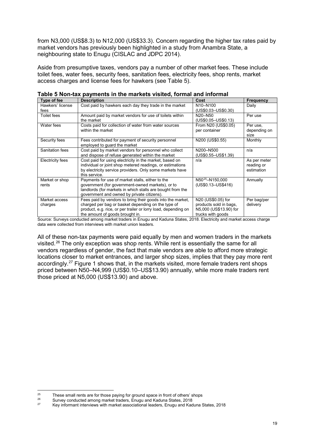from N3,000 (US\$8.3) to N12,000 (US\$33.3). Concern regarding the higher tax rates paid by market vendors has previously been highlighted in a study from Anambra State, a neighbouring state to Enugu (CISLAC and JDPC 2014).

Aside from presumptive taxes, vendors pay a number of other market fees. These include toilet fees, water fees, security fees, sanitation fees, electricity fees, shop rents, market access charges and license fees for hawkers (see Table 5).

| Type of fee              | <b>Description</b>                                                                                                                                                                                                    | Cost                                                                                        | <b>Frequency</b>                         |
|--------------------------|-----------------------------------------------------------------------------------------------------------------------------------------------------------------------------------------------------------------------|---------------------------------------------------------------------------------------------|------------------------------------------|
| Hawkers' license<br>fees | Cost paid by hawkers each day they trade in the market                                                                                                                                                                | N <sub>10</sub> -N <sub>100</sub><br>(US\$0.03-US\$0.30)                                    | Daily                                    |
| <b>Toilet fees</b>       | Amount paid by market vendors for use of toilets within<br>the market                                                                                                                                                 | N20-N50<br>(US\$0.05-US\$0.13)                                                              | Per use                                  |
| Water fees               | Costs paid for collection of water from water sources<br>within the market                                                                                                                                            | From N20 (US\$0.05)<br>per container                                                        | Per use,<br>depending on<br>size         |
| Security fees            | Fees contributed for payment of security personnel<br>employed to quard the market                                                                                                                                    | N200 (US\$0.55)                                                                             | Monthly                                  |
| Sanitation fees          | Cost paid by market vendors for personnel who collect<br>and dispose of refuse generated within the market                                                                                                            | N200-N500<br>(US\$0.55-US\$1.39)                                                            | n/a                                      |
| Electricity fees         | Cost paid for using electricity in the market, based on<br>individual or joint shop metered readings, or estimations<br>by electricity service providers. Only some markets have<br>this service.                     | n/a                                                                                         | As per meter<br>reading or<br>estimation |
| Market or shop<br>rents  | Payments for use of market stalls, either to the<br>government (for government-owned markets), or to<br>landlords (for markets in which stalls are bought from the<br>government and owned by private citizens).      | N50 <sup>25</sup> -N150,000<br>(US\$0.13-US\$416)                                           | Annually                                 |
| Market access<br>charges | Fees paid by vendors to bring their goods into the market,<br>charged per bag or basket depending on the type of<br>product, e.g. rice, or per trailer or lorry load, depending on<br>the amount of goods brought in. | N20 (US\$0.05) for<br>products sold in bags,<br>N5,000 (US\$13.90) for<br>trucks with goods | Per bag/per<br>delivery                  |

**Table 5 Non-tax payments in the markets visited, formal and informal**

Source: Surveys conducted among market traders in Enugu and Kaduna States, 2018. Electricity and market access charge data were collected from interviews with market union leaders.

All of these non-tax payments were paid equally by men and women traders in the markets visited. [26](#page-19-1) The only exception was shop rents. While rent is essentially the same for all vendors regardless of gender, the fact that male vendors are able to afford more strategic locations closer to market entrances, and larger shop sizes, implies that they pay more rent accordingly. [27](#page-19-2) Figure 1 shows that, in the markets visited, more female traders rent shops priced between N50–N4,999 (US\$0.10–US\$13.90) annually, while more male traders rent those priced at N5,000 (US\$13.90) and above.

<span id="page-19-0"></span><sup>&</sup>lt;sup>25</sup> These small rents are for those paying for ground space in front of others' shops<br><sup>26</sup> Survey conducted among market traders. Frigging and Kaduna States, 2018

<span id="page-19-2"></span><span id="page-19-1"></span><sup>&</sup>lt;sup>26</sup> Survey conducted among market traders, Enugu and Kaduna States, 2018<br><sup>27</sup> Key informant interviews with market associational leaders. Enugu and Kad

<sup>27</sup> Key informant interviews with market associational leaders, Enugu and Kaduna States, 2018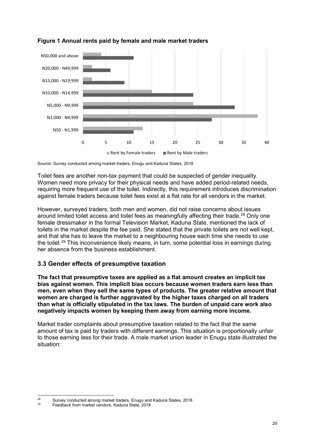

#### **Figure 1 Annual rents paid by female and male market traders**

Toilet fees are another non-tax payment that could be suspected of gender inequality. Women need more privacy for their physical needs and have added period-related needs, requiring more frequent use of the toilet. Indirectly, this requirement introduces discrimination against female traders because toilet fees exist at a flat rate for all vendors in the market.

However, surveyed traders, both men and women, did not raise concerns about issues around limited toilet access and toilet fees as meaningfully affecting their trade.<sup>[28](#page-20-0)</sup> Only one female dressmaker in the formal Television Market, Kaduna State, mentioned the lack of toilets in the market despite the fee paid. She stated that the private toilets are not well kept, and that she has to leave the market to a neighbouring house each time she needs to use the toilet. [29](#page-20-1) This inconvenience likely means, in turn, some potential loss in earnings during her absence from the business establishment.

### **3.3 Gender effects of presumptive taxation**

**The fact that presumptive taxes are applied as a flat amount creates an implicit tax bias against women. This implicit bias occurs because women traders earn less than men, even when they sell the same types of products. The greater relative amount that women are charged is further aggravated by the higher taxes charged on all traders than what is officially stipulated in the tax laws. The burden of unpaid care work also negatively impacts women by keeping them away from earning more income.**

Market trader complaints about presumptive taxation related to the fact that the same amount of tax is paid by traders with different earnings. This situation is proportionally unfair to those earning less for their trade. A male market union leader in Enugu state illustrated the situation:

Source: Survey conducted among market traders, Enugu and Kaduna States, 2018

<span id="page-20-0"></span><sup>&</sup>lt;sup>28</sup> Survey conducted among market traders, Enugu and Kaduna States, 2018

<span id="page-20-1"></span><sup>29</sup> Feedback from market vendors, Kaduna State, 2018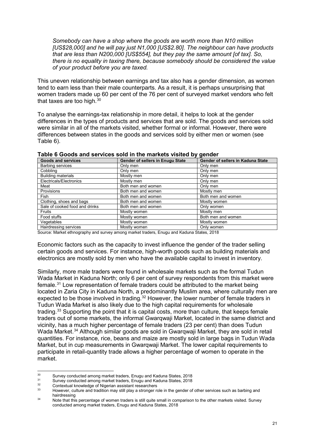*Somebody can have a shop where the goods are worth more than N10 million [US\$28,000] and he will pay just N1,000 [US\$2.80]. The neighbour can have products that are less than N200,000 [US\$554], but they pay the same amount [of tax]. So, there is no equality in taxing there, because somebody should be considered the value of your product before you are taxed.*

This uneven relationship between earnings and tax also has a gender dimension, as women tend to earn less than their male counterparts. As a result, it is perhaps unsurprising that women traders made up 60 per cent of the 76 per cent of surveyed market vendors who felt that taxes are too high. $^{\rm 30}$  $^{\rm 30}$  $^{\rm 30}$ 

To analyse the earnings-tax relationship in more detail, it helps to look at the gender differences in the types of products and services that are sold. The goods and services sold were similar in all of the markets visited, whether formal or informal. However, there were differences between states in the goods and services sold by either men or women (see Table 6).

| <b>Goods and services</b>      | <b>Gender of sellers in Enugu State</b> | Gender of sellers in Kaduna State |
|--------------------------------|-----------------------------------------|-----------------------------------|
| <b>Barbing services</b>        | Only men                                | Only men                          |
| Cobblina                       | Only men                                | Only men                          |
| <b>Building materials</b>      | Mostly men                              | Only men                          |
| Electricals/Electronics        | Mostly men                              | Only men                          |
| Meat                           | Both men and women                      | Only men                          |
| Provisions                     | Both men and women                      | Mostly men                        |
| <b>Fish</b>                    | Both men and women                      | Both men and women                |
| Clothing, shoes and bags       | Both men and women                      | Mostly women                      |
| Sale of cooked food and drinks | Both men and women                      | Only women                        |
| <b>Fruits</b>                  | Mostly women                            | Mostly men                        |
| Food stuffs                    | Mostly women                            | Both men and women                |
| Vegetables                     | Mostly women                            | Mostly women                      |
| Hairdressing services          | Mostly women                            | Only women                        |

#### **Table 6 Goods and services sold in the markets visited by gender**

Source: Market ethnography and survey among market traders, Enugu and Kaduna States, 2018

Economic factors such as the capacity to invest influence the gender of the trader selling certain goods and services. For instance, high-worth goods such as building materials and electronics are mostly sold by men who have the available capital to invest in inventory.

Similarly, more male traders were found in wholesale markets such as the formal Tudun Wada Market in Kaduna North; only 6 per cent of survey respondents from this market were female. [31](#page-21-1) Low representation of female traders could be attributed to the market being located in Zaria City in Kaduna North, a predominantly Muslim area, where culturally men are expected to be those involved in trading.<sup>[32](#page-21-2)</sup> However, the lower number of female traders in Tudun Wada Market is also likely due to the high capital requirements for wholesale trading.<sup>[33](#page-21-3)</sup> Supporting the point that it is capital costs, more than culture, that keeps female traders out of some markets, the informal Gwarqwaji Market, located in the same district and vicinity, has a much higher percentage of female traders (23 per cent) than does Tudun Wada Market. [34](#page-21-4) Although similar goods are sold in Gwarqwaji Market, they are sold in retail quantities. For instance, rice, beans and maize are mostly sold in large bags in Tudun Wada Market, but in cup measurements in Gwarqwaji Market. The lower capital requirements to participate in retail-quantity trade allows a higher percentage of women to operate in the market.

<span id="page-21-0"></span><sup>&</sup>lt;sup>30</sup> Survey conducted among market traders, Enugu and Kaduna States, 2018<br><sup>31</sup> Survey conducted among market traders. Enugu and Kaduna States, 2018

<span id="page-21-1"></span><sup>&</sup>lt;sup>31</sup> Survey conducted among market traders, Enugu and Kaduna States, 2018<br><sup>32</sup> Centertual knowledge of Nigerian esciptort recognitions

<span id="page-21-3"></span><span id="page-21-2"></span><sup>&</sup>lt;sup>32</sup> Contextual knowledge of Nigerian assistant researchers

However, culture and tradition may still play a stronger role in the gender of other services such as barbing and hairdressing

<span id="page-21-4"></span><sup>34</sup> Note that this percentage of women traders is still quite small in comparison to the other markets visited. Survey conducted among market traders, Enugu and Kaduna States, 2018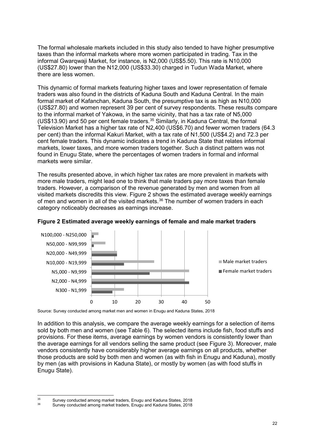The formal wholesale markets included in this study also tended to have higher presumptive taxes than the informal markets where more women participated in trading. Tax in the informal Gwarqwaji Market, for instance, is N2,000 (US\$5.50). This rate is N10,000 (US\$27.80) lower than the N12,000 (US\$33.30) charged in Tudun Wada Market, where there are less women.

This dynamic of formal markets featuring higher taxes and lower representation of female traders was also found in the districts of Kaduna South and Kaduna Central. In the main formal market of Kafanchan, Kaduna South, the presumptive tax is as high as N10,000 (US\$27.80) and women represent 39 per cent of survey respondents. These results compare to the informal market of Yakowa, in the same vicinity, that has a tax rate of N5,000 (US\$13.90) and 50 per cent female traders. [35](#page-22-0) Similarly, in Kaduna Central, the formal Television Market has a higher tax rate of N2,400 (US\$6.70) and fewer women traders (64.3 per cent) than the informal Kakuri Market, with a tax rate of N1,500 (US\$4.2) and 72.3 per cent female traders. This dynamic indicates a trend in Kaduna State that relates informal markets, lower taxes, and more women traders together. Such a distinct pattern was not found in Enugu State, where the percentages of women traders in formal and informal markets were similar.

The results presented above, in which higher tax rates are more prevalent in markets with more male traders, might lead one to think that male traders pay more taxes than female traders. However, a comparison of the revenue generated by men and women from all visited markets discredits this view. Figure 2 shows the estimated average weekly earnings of men and women in all of the visited markets.[36](#page-22-1) The number of women traders in each category noticeably decreases as earnings increase.



#### **Figure 2 Estimated average weekly earnings of female and male market traders**

Source: Survey conducted among market men and women in Enugu and Kaduna States, 2018

In addition to this analysis, we compare the average weekly earnings for a selection of items sold by both men and women (see Table 6). The selected items include fish, food stuffs and provisions. For these items, average earnings by women vendors is consistently lower than the average earnings for all vendors selling the same product (see Figure 3). Moreover, male vendors consistently have considerably higher average earnings on all products, whether those products are sold by both men and women (as with fish in Enugu and Kaduna), mostly by men (as with provisions in Kaduna State), or mostly by women (as with food stuffs in Enugu State).

 <sup>35</sup> Survey conducted among market traders, Enugu and Kaduna States, 2018

<span id="page-22-1"></span><span id="page-22-0"></span>Survey conducted among market traders, Enugu and Kaduna States, 2018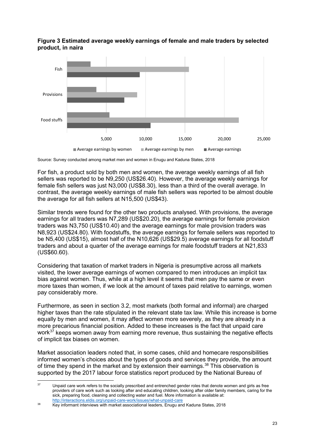#### **Figure 3 Estimated average weekly earnings of female and male traders by selected product, in naira**



Source: Survey conducted among market men and women in Enugu and Kaduna States, 2018

For fish, a product sold by both men and women, the average weekly earnings of all fish sellers was reported to be N9,250 (US\$26.40). However, the average weekly earnings for female fish sellers was just N3,000 (US\$8.30), less than a third of the overall average. In contrast, the average weekly earnings of male fish sellers was reported to be almost double the average for all fish sellers at N15,500 (US\$43).

Similar trends were found for the other two products analysed. With provisions, the average earnings for all traders was N7,289 (US\$20.20), the average earnings for female provision traders was N3,750 (US\$10.40) and the average earnings for male provision traders was N8,923 (US\$24.80). With foodstuffs, the average earnings for female sellers was reported to be N5,400 (US\$15), almost half of the N10,626 (US\$29.5) average earnings for all foodstuff traders and about a quarter of the average earnings for male foodstuff traders at N21,833 (US\$60.60).

Considering that taxation of market traders in Nigeria is presumptive across all markets visited, the lower average earnings of women compared to men introduces an implicit tax bias against women. Thus, while at a high level it seems that men pay the same or even more taxes than women, if we look at the amount of taxes paid relative to earnings, women pay considerably more.

Furthermore, as seen in section 3.2, most markets (both formal and informal) are charged higher taxes than the rate stipulated in the relevant state tax law. While this increase is borne equally by men and women, it may affect women more severely, as they are already in a more precarious financial position. Added to these increases is the fact that unpaid care work<sup>[37](#page-23-0)</sup> keeps women away from earning more revenue, thus sustaining the negative effects of implicit tax biases on women.

Market association leaders noted that, in some cases, child and homecare responsibilities informed women's choices about the types of goods and services they provide, the amount of time they spend in the market and by extension their earnings. [38](#page-23-1) This observation is supported by the 2017 labour force statistics report produced by the National Bureau of

<span id="page-23-0"></span><sup>&</sup>lt;sup>37</sup> Unpaid care work refers to the socially prescribed and entrenched gender roles that denote women and girls as free providers of care work such as looking after and educating children, looking after older family members, caring for the sick, preparing food, cleaning and collecting water and fuel. More information is available at: <http://interactions.eldis.org/unpaid-care-work/issues/what-unpaid-care>

<span id="page-23-1"></span><sup>38</sup> Key informant interviews with market associational leaders, Enugu and Kaduna States, 2018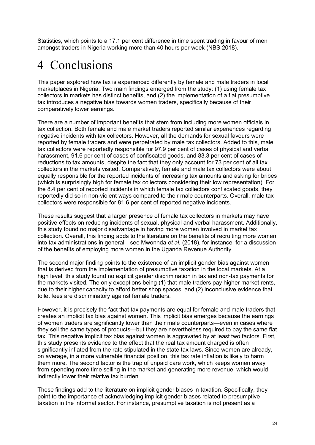Statistics, which points to a 17.1 per cent difference in time spent trading in favour of men amongst traders in Nigeria working more than 40 hours per week (NBS 2018).

# 4 Conclusions

This paper explored how tax is experienced differently by female and male traders in local marketplaces in Nigeria. Two main findings emerged from the study: (1) using female tax collectors in markets has distinct benefits, and (2) the implementation of a flat presumptive tax introduces a negative bias towards women traders, specifically because of their comparatively lower earnings.

There are a number of important benefits that stem from including more women officials in tax collection. Both female and male market traders reported similar experiences regarding negative incidents with tax collectors. However, all the demands for sexual favours were reported by female traders and were perpetrated by male tax collectors. Added to this, male tax collectors were reportedly responsible for 97.9 per cent of cases of physical and verbal harassment, 91.6 per cent of cases of confiscated goods, and 83.3 per cent of cases of reductions to tax amounts, despite the fact that they only account for 73 per cent of all tax collectors in the markets visited. Comparatively, female and male tax collectors were about equally responsible for the reported incidents of increasing tax amounts and asking for bribes (which is surprisingly high for female tax collectors considering their low representation). For the 8.4 per cent of reported incidents in which female tax collectors confiscated goods, they reportedly did so in non-violent ways compared to their male counterparts. Overall, male tax collectors were responsible for 81.6 per cent of reported negative incidents.

These results suggest that a larger presence of female tax collectors in markets may have positive effects on reducing incidents of sexual, physical and verbal harassment. Additionally, this study found no major disadvantage in having more women involved in market tax collection. Overall, this finding adds to the literature on the benefits of recruiting more women into tax administrations in general—see Mwonhda *et al.* (2018), for instance, for a discussion of the benefits of employing more women in the Uganda Revenue Authority.

The second major finding points to the existence of an implicit gender bias against women that is derived from the implementation of presumptive taxation in the local markets. At a high level, this study found no explicit gender discrimination in tax and non-tax payments for the markets visited. The only exceptions being (1) that male traders pay higher market rents, due to their higher capacity to afford better shop spaces, and (2) inconclusive evidence that toilet fees are discriminatory against female traders.

However, it is precisely the fact that tax payments are equal for female and male traders that creates an implicit tax bias against women. This implicit bias emerges because the earnings of women traders are significantly lower than their male counterparts—even in cases where they sell the same types of products—but they are nevertheless required to pay the same flat tax. This negative implicit tax bias against women is aggravated by at least two factors. First, this study presents evidence to the effect that the real tax amount charged is often significantly inflated from the rate stipulated in the state tax laws. Since women are already, on average, in a more vulnerable financial position, this tax rate inflation is likely to harm them more. The second factor is the trap of unpaid care work, which keeps women away from spending more time selling in the market and generating more revenue, which would indirectly lower their relative tax burden.

These findings add to the literature on implicit gender biases in taxation. Specifically, they point to the importance of acknowledging implicit gender biases related to presumptive taxation in the informal sector. For instance, presumptive taxation is not present as a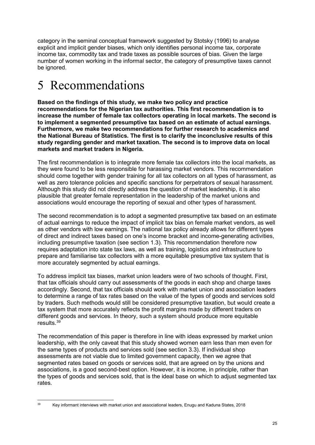category in the seminal conceptual framework suggested by Stotsky (1996) to analyse explicit and implicit gender biases, which only identifies personal income tax, corporate income tax, commodity tax and trade taxes as possible sources of bias. Given the large number of women working in the informal sector, the category of presumptive taxes cannot be ignored.

# 5 Recommendations

**Based on the findings of this study, we make two policy and practice recommendations for the Nigerian tax authorities. This first recommendation is to increase the number of female tax collectors operating in local markets. The second is to implement a segmented presumptive tax based on an estimate of actual earnings. Furthermore, we make two recommendations for further research to academics and the National Bureau of Statistics. The first is to clarify the inconclusive results of this study regarding gender and market taxation. The second is to improve data on local markets and market traders in Nigeria.**

The first recommendation is to integrate more female tax collectors into the local markets, as they were found to be less responsible for harassing market vendors. This recommendation should come together with gender training for all tax collectors on all types of harassment, as well as zero tolerance policies and specific sanctions for perpetrators of sexual harassment. Although this study did not directly address the question of market leadership, it is also plausible that greater female representation in the leadership of the market unions and associations would encourage the reporting of sexual and other types of harassment.

The second recommendation is to adopt a segmented presumptive tax based on an estimate of actual earnings to reduce the impact of implicit tax bias on female market vendors, as well as other vendors with low earnings. The national tax policy already allows for different types of direct and indirect taxes based on one's income bracket and income-generating activities, including presumptive taxation (see section 1.3). This recommendation therefore now requires adaptation into state tax laws, as well as training, logistics and infrastructure to prepare and familiarise tax collectors with a more equitable presumptive tax system that is more accurately segmented by actual earnings.

To address implicit tax biases, market union leaders were of two schools of thought. First, that tax officials should carry out assessments of the goods in each shop and charge taxes accordingly. Second, that tax officials should work with market union and association leaders to determine a range of tax rates based on the value of the types of goods and services sold by traders. Such methods would still be considered presumptive taxation, but would create a tax system that more accurately reflects the profit margins made by different traders on different goods and services. In theory, such a system should produce more equitable results.<sup>[39](#page-25-0)</sup>

The recommendation of this paper is therefore in line with ideas expressed by market union leadership, with the only caveat that this study showed women earn less than men even for the same types of products and services sold (see section 3.3). If individual shop assessments are not viable due to limited government capacity, then we agree that segmented rates based on goods or services sold, that are agreed on by the unions and associations, is a good second-best option. However, it is income, in principle, rather than the types of goods and services sold, that is the ideal base on which to adjust segmented tax rates.

<span id="page-25-0"></span><sup>&</sup>lt;sup>39</sup> Key informant interviews with market union and associational leaders, Enugu and Kaduna States, 2018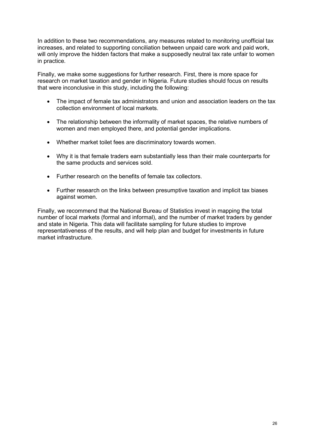In addition to these two recommendations, any measures related to monitoring unofficial tax increases, and related to supporting conciliation between unpaid care work and paid work, will only improve the hidden factors that make a supposedly neutral tax rate unfair to women in practice.

Finally, we make some suggestions for further research. First, there is more space for research on market taxation and gender in Nigeria. Future studies should focus on results that were inconclusive in this study, including the following:

- The impact of female tax administrators and union and association leaders on the tax collection environment of local markets.
- The relationship between the informality of market spaces, the relative numbers of women and men employed there, and potential gender implications.
- Whether market toilet fees are discriminatory towards women.
- Why it is that female traders earn substantially less than their male counterparts for the same products and services sold.
- Further research on the benefits of female tax collectors.
- Further research on the links between presumptive taxation and implicit tax biases against women.

Finally, we recommend that the National Bureau of Statistics invest in mapping the total number of local markets (formal and informal), and the number of market traders by gender and state in Nigeria. This data will facilitate sampling for future studies to improve representativeness of the results, and will help plan and budget for investments in future market infrastructure.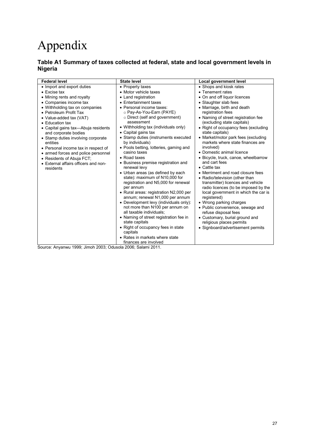# Appendix

#### **Table A1 Summary of taxes collected at federal, state and local government levels in Nigeria**

| <b>Federal level</b>                 | <b>State level</b>                                                  | Local government level                                              |
|--------------------------------------|---------------------------------------------------------------------|---------------------------------------------------------------------|
| • Import and export duties           | • Property taxes                                                    | • Shops and kiosk rates                                             |
| $\bullet$ Excise tax                 | • Motor vehicle taxes                                               | • Tenement rates                                                    |
| • Mining rents and royalty           | • Land registration                                                 | • On and off liquor licences                                        |
| • Companies income tax               | • Entertainment taxes                                               | • Slaughter slab fees                                               |
| • Withholding tax on companies       | • Personal income taxes:                                            | • Marriage, birth and death                                         |
| • Petroleum Profit Tax               | ○ Pay-As-You-Earn (PAYE)                                            | registration fees                                                   |
| • Value-added tax (VAT)              | $\circ$ Direct (self and government)                                | • Naming of street registration fee                                 |
| • Education tax                      | assessment                                                          | (excluding state capitals)                                          |
| • Capital gains tax—Abuja residents  | • Withholding tax (individuals only)                                | • Right of occupancy fees (excluding                                |
| and corporate bodies                 | • Capital gains tax                                                 | state capitals)                                                     |
| • Stamp duties involving corporate   | • Stamp duties (instruments executed                                | • Market/motor park fees (excluding                                 |
| entities                             | by individuals)                                                     | markets where state finances are                                    |
| • Personal income tax in respect of  | • Pools betting, lotteries, gaming and                              | involved)                                                           |
| • armed forces and police personnel  | casino taxes                                                        | • Domestic animal licence                                           |
| • Residents of Abuja FCT;            | • Road taxes                                                        | • Bicycle, truck, canoe, wheelbarrow                                |
| • External affairs officers and non- | • Business premise registration and                                 | and cart fees                                                       |
| residents                            | renewal levy                                                        | $\bullet$ Cattle tax                                                |
|                                      | • Urban areas (as defined by each<br>state): maximum of N10,000 for | • Merriment and road closure fees                                   |
|                                      | registration and N5,000 for renewal                                 | • Radio/television (other than<br>transmitter) licences and vehicle |
|                                      | per annum                                                           | radio licences (to be imposed by the                                |
|                                      | • Rural areas: registration N2,000 per                              | local government in which the car is                                |
|                                      | annum; renewal N1,000 per annum                                     | registered)                                                         |
|                                      | • Development levy (individuals only):                              | • Wrong parking charges                                             |
|                                      | not more than N100 per annum on                                     | • Public convenience, sewage and                                    |
|                                      | all taxable individuals;                                            | refuse disposal fees                                                |
|                                      | • Naming of street registration fee in                              | • Customary, burial ground and                                      |
|                                      | state capitals                                                      | religious places permits                                            |
|                                      | • Right of occupancy fees in state                                  | • Signboard/advertisement permits                                   |
|                                      | capitals                                                            |                                                                     |
|                                      | • Rates in markets where state                                      |                                                                     |
|                                      | finances are involved                                               |                                                                     |

Source: Anyanwu 1999; Jimoh 2003; Odusola 2006; Salami 2011.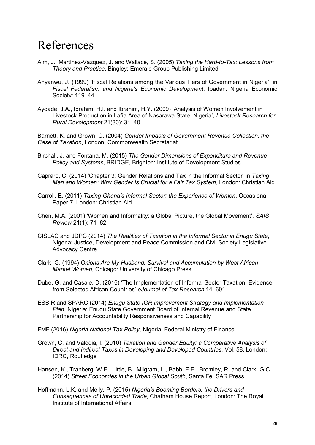# References

- Alm, J., Martinez-Vazquez, J. and Wallace, S. (2005) *Taxing the Hard-to-Tax: Lessons from Theory and Practice*. Bingley: Emerald Group Publishing Limited
- Anyanwu, J. (1999) 'Fiscal Relations among the Various Tiers of Government in Nigeria', in *Fiscal Federalism and Nigeria's Economic Development*, Ibadan: Nigeria Economic Society: 119–44
- Ayoade, J.A., Ibrahim, H.I. and Ibrahim, H.Y. (2009) 'Analysis of Women Involvement in Livestock Production in Lafia Area of Nasarawa State, Nigeria', *Livestock Research for Rural Development* 21(30): 31–40

Barnett, K. and Grown, C. (2004) *Gender Impacts of Government Revenue Collection: the Case of Taxation*, London: Commonwealth Secretariat

- Birchall, J. and Fontana, M. (2015) *The Gender Dimensions of Expenditure and Revenue Policy and Systems*, BRIDGE, Brighton: Institute of Development Studies
- Capraro, C. (2014) 'Chapter 3: Gender Relations and Tax in the Informal Sector' in *Taxing Men and Women: Why Gender Is Crucial for a Fair Tax System*, London: Christian Aid
- Carroll, E. (2011) *Taxing Ghana's Informal Sector: the Experience of Women*, Occasional Paper 7, London: Christian Aid
- Chen, M.A. (2001) 'Women and Informality: a Global Picture, the Global Movement', *SAIS Review* 21(1): 71–82
- CISLAC and JDPC (2014) *The Realities of Taxation in the Informal Sector in Enugu State*, Nigeria: Justice, Development and Peace Commission and Civil Society Legislative Advocacy Centre
- Clark, G. (1994) *Onions Are My Husband: Survival and Accumulation by West African Market Women*, Chicago: University of Chicago Press
- Dube, G. and Casale, D. (2016) 'The Implementation of Informal Sector Taxation: Evidence from Selected African Countries' *eJournal of Tax Research* 14: 601
- ESBIR and SPARC (2014) *Enugu State IGR Improvement Strategy and Implementation Plan*, Nigeria: Enugu State Government Board of Internal Revenue and State Partnership for Accountability Responsiveness and Capability
- FMF (2016) *Nigeria National Tax Policy*, Nigeria: Federal Ministry of Finance
- Grown, C. and Valodia, I. (2010) *Taxation and Gender Equity: a Comparative Analysis of Direct and Indirect Taxes in Developing and Developed Countries*, Vol. 58, London: IDRC, Routledge
- Hansen, K., Tranberg, W.E., Little, B., Milgram, L., Babb, F.E., Bromley, R. and Clark, G.C. (2014) *Street Economies in the Urban Global South*, Santa Fe: SAR Press
- Hoffmann, L.K. and Melly, P. (2015) *Nigeria's Booming Borders: the Drivers and Consequences of Unrecorded Trade*, Chatham House Report, London: The Royal Institute of International Affairs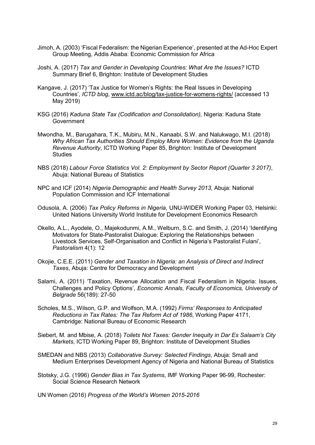- Jimoh, A. (2003) 'Fiscal Federalism: the Nigerian Experience', presented at the Ad-Hoc Expert Group Meeting, Addis Ababa: Economic Commission for Africa
- Joshi, A. (2017) *Tax and Gender in Developing Countries: What Are the Issues?* ICTD Summary Brief 6, Brighton: Institute of Development Studies
- Kangave, J. (2017) 'Tax Justice for Women's Rights: the Real Issues in Developing Countries', *ICTD blog*, [www.ictd.ac/blog/tax-justice-for-womens-rights/](http://www.ictd.ac/blog/tax-justice-for-womens-rights/) (accessed 13 May 2019)
- KSG (2016) *Kaduna State Tax (Codification and Consolidation),* Nigeria: Kaduna State **Government**
- Mwondha, M., Barugahara, T.K., Mubiru, M.N., Kanaabi, S.W. and Nalukwago, M.I. (2018) *Why African Tax Authorities Should Employ More Women: Evidence from the Uganda Revenue Authority*, ICTD Working Paper 85, Brighton: Institute of Development **Studies**
- NBS (2018) *Labour Force Statistics Vol. 2: Employment by Sector Report (Quarter 3 2017)*, Abuja: National Bureau of Statistics
- NPC and ICF (2014) *Nigeria Demographic and Health Survey 2013*, Abuja: National Population Commission and ICF International
- Odusola, A. (2006) *Tax Policy Reforms in Nigeria*, UNU-WIDER Working Paper 03, Helsinki: United Nations University World Institute for Development Economics Research
- Okello, A.L., Ayodele, O., Majekodunmi, A.M., Welburn, S.C. and Smith, J. (2014) 'Identifying Motivators for State-Pastoralist Dialogue: Exploring the Relationships between Livestock Services, Self-Organisation and Conflict in Nigeria's Pastoralist Fulani', *Pastoralism* 4(1): 12
- Okojie, C.E.E. (2011) *Gender and Taxation in Nigeria: an Analysis of Direct and Indirect Taxes*, Abuja: Centre for Democracy and Development
- Salami, A. (2011) 'Taxation, Revenue Allocation and Fiscal Federalism in Nigeria: Issues, Challenges and Policy Options', *Economic Annals, Faculty of Economics, University of Belgrade* 56(189): 27-50
- Scholes, M.S., Wilson, G.P. and Wolfson, M.A. (1992) *Firms' Responses to Anticipated Reductions in Tax Rates: The Tax Reform Act of 1986*, Working Paper 4171, Cambridge: National Bureau of Economic Research
- Siebert, M. and Mbise, A. (2018) *Toilets Not Taxes: Gender Inequity in Dar Es Salaam's City Markets*, ICTD Working Paper 89, Brighton: Institute of Development Studies
- SMEDAN and NBS (2013) *Collaborative Survey: Selected Findings*, Abuja: Small and Medium Enterprises Development Agency of Nigeria and National Bureau of Statistics
- Stotsky, J.G. (1996) *Gender Bias in Tax Systems*, IMF Working Paper 96-99, Rochester: Social Science Research Network
- UN Women (2016) *Progress of the World's Women 2015-2016*